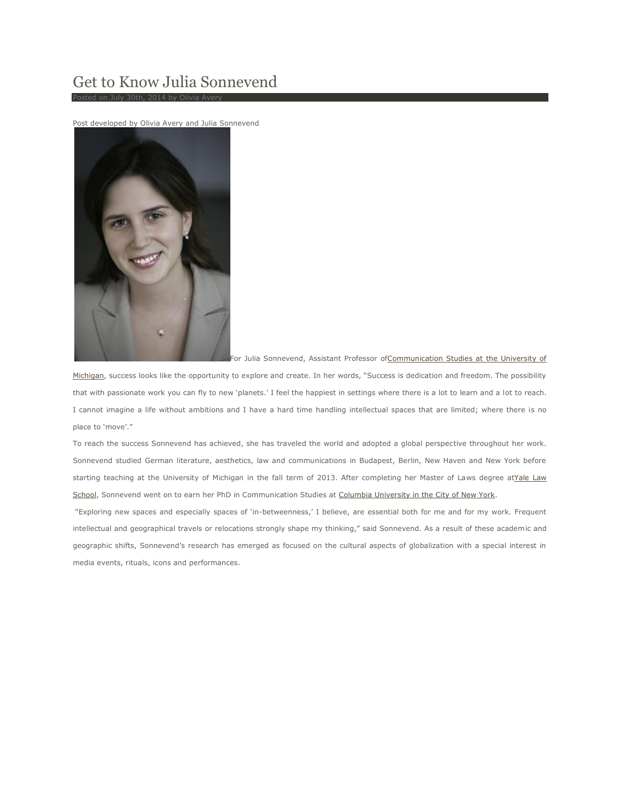## Get to Know Julia Sonnevend

Post developed by Olivia Avery and Julia Sonnevend



For Julia Sonnevend, Assistant Professor of Communication Studies at the University of

[Michigan](http://www.lsa.umich.edu/comm), success looks like the opportunity to explore and create. In her words, "Success is dedication and freedom. The possibility that with passionate work you can fly to new 'planets.' I feel the happiest in settings where there is a lot to learn and a lot to reach. I cannot imagine a life without ambitions and I have a hard time handling intellectual spaces that are limited; where there is no place to 'move'."

To reach the success Sonnevend has achieved, she has traveled the world and adopted a global perspective throughout her work. Sonnevend studied German literature, aesthetics, law and communications in Budapest, Berlin, New Haven and New York before starting teaching at the University of Michigan in the fall term of 2013. After completing her Master of Laws degree atYale Law [School,](http://www.law.yale.edu/) Sonnevend went on to earn her PhD in Communication Studies at [Columbia University in the City of New York.](http://www.columbia.edu/)

"Exploring new spaces and especially spaces of 'in-betweenness,' I believe, are essential both for me and for my work. Frequent intellectual and geographical travels or relocations strongly shape my thinking," said Sonnevend. As a result of these academic and geographic shifts, Sonnevend's research has emerged as focused on the cultural aspects of globalization with a special interest in media events, rituals, icons and performances.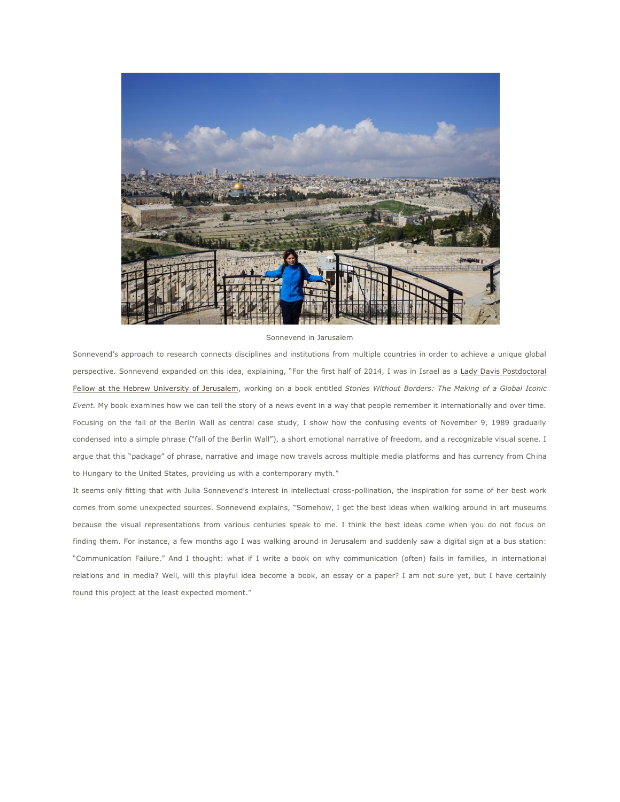

## Sonnevend in Jarusalem

Sonnevend's approach to research connects disciplines and institutions from multiple countries in order to achieve a unique global perspective. Sonnevend expanded on this idea, explaining, "For the first half of 2014, I was in Israel as a Lady Davis Postdoctoral [Fellow at the Hebrew University of Jerusalem,](http://ldft.huji.ac.il/) working on a book entitled *Stories Without Borders: The Making of a Global Iconic Event.* My book examines how we can tell the story of a news event in a way that people remember it internationally and over time. Focusing on the fall of the Berlin Wall as central case study, I show how the confusing events of November 9, 1989 gradually condensed into a simple phrase ("fall of the Berlin Wall"), a short emotional narrative of freedom, and a recognizable visual scene. I argue that this "package" of phrase, narrative and image now travels across multiple media platforms and has currency from China to Hungary to the United States, providing us with a contemporary myth."

It seems only fitting that with Julia Sonnevend's interest in intellectual cross-pollination, the inspiration for some of her best work comes from some unexpected sources. Sonnevend explains, "Somehow, I get the best ideas when walking around in art museums because the visual representations from various centuries speak to me. I think the best ideas come when you do not focus on finding them. For instance, a few months ago I was walking around in Jerusalem and suddenly saw a digital sign at a bus station: "Communication Failure." And I thought: what if I write a book on why communication (often) fails in families, in international relations and in media? Well, will this playful idea become a book, an essay or a paper? I am not sure yet, but I have certainly found this project at the least expected moment."